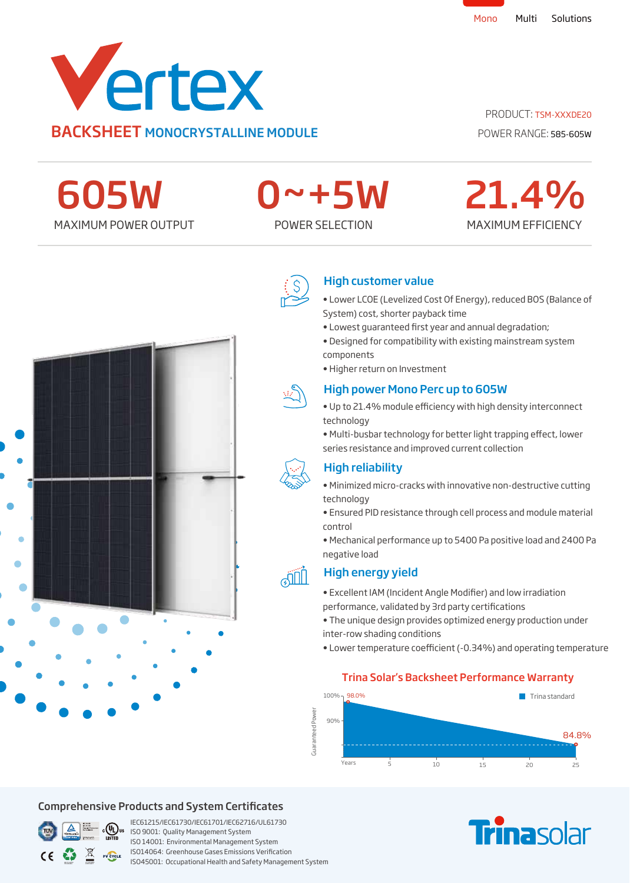

PRODUCT: TSM-XXXDE20

POWER RANGE: 585-605W

MAXIMUM EFFICIENCY

21.4%

MAXIMUM POWER OUTPUT POWER SELECTION 605W

# 0~+5W



## High customer value

- Lower LCOE (Levelized Cost Of Energy), reduced BOS (Balance of System) cost, shorter payback time
- Lowest quaranteed first year and annual degradation;
- Designed for compatibility with existing mainstream system components
- Higher return on Investment

# High power Mono Perc up to 605W

- Up to 21.4% module efficiency with high density interconnect technology
- Multi-busbar technology for better light trapping effect, lower series resistance and improved current collection



**JIL** 

## High reliability

- Minimized micro-cracks with innovative non-destructive cutting technology
- Ensured PID resistance through cell process and module material control
- Mechanical performance up to 5400 Pa positive load and 2400 Pa negative load



- Excellent IAM (Incident Angle Modifier) and low irradiation performance, validated by 3rd party certifications
- The unique design provides optimized energy production under inter-row shading conditions
- Lower temperature coefficient (-0.34%) and operating temperature

## Trina Solar's Backsheet Performance Warranty







## Comprehensive Products and System Certificates



IEC61215/IEC61730/IEC61701/IEC62716/UL61730  $\frac{1000}{1600}$  CVLJUS ISO 9001: Quality Management System ISO 14001: Environmental Management System ISO14064: Greenhouse Gases Emissions Verication ISO45001: Occupational Health and Safety Management System